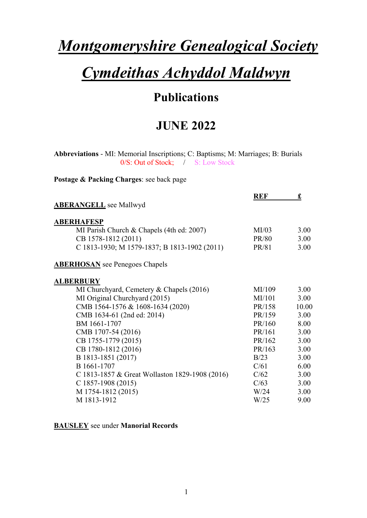# *Montgomeryshire Genealogical Society*

# *Cymdeithas Achyddol Maldwyn*

# **Publications**

## **JUNE 2022**

**Abbreviations** - MI: Memorial Inscriptions; C: Baptisms; M: Marriages; B: Burials 0/S: Out of Stock; / S: Low Stock

**Postage & Packing Charges**: see back page

|                                                | <b>REF</b> | £     |
|------------------------------------------------|------------|-------|
| <b>ABERANGELL</b> see Mallwyd                  |            |       |
| <b>ABERHAFESP</b>                              |            |       |
| MI Parish Church & Chapels (4th ed: 2007)      | MI/03      | 3.00  |
| CB 1578-1812 (2011)                            | PR/80      | 3.00  |
| C 1813-1930; M 1579-1837; B 1813-1902 (2011)   | PR/81      | 3.00  |
| <b>ABERHOSAN</b> see Penegoes Chapels          |            |       |
| <b>ALBERBURY</b>                               |            |       |
| MI Churchyard, Cemetery & Chapels (2016)       | MI/109     | 3.00  |
| MI Original Churchyard (2015)                  | MI/101     | 3.00  |
| CMB 1564-1576 & 1608-1634 (2020)               | PR/158     | 10.00 |
| CMB 1634-61 (2nd ed: 2014)                     | PR/159     | 3.00  |
| BM 1661-1707                                   | PR/160     | 8.00  |
| CMB 1707-54 (2016)                             | PR/161     | 3.00  |
| CB 1755-1779 (2015)                            | PR/162     | 3.00  |
| CB 1780-1812 (2016)                            | PR/163     | 3.00  |
| B 1813-1851 (2017)                             | B/23       | 3.00  |
| B 1661-1707                                    | C/61       | 6.00  |
| C 1813-1857 & Great Wollaston 1829-1908 (2016) | C/62       | 3.00  |
| $C$ 1857-1908 (2015)                           | C/63       | 3.00  |
| M 1754-1812 (2015)                             | W/24       | 3.00  |
| M 1813-1912                                    | W/25       | 9.00  |
|                                                |            |       |

**BAUSLEY** see under **Manorial Records**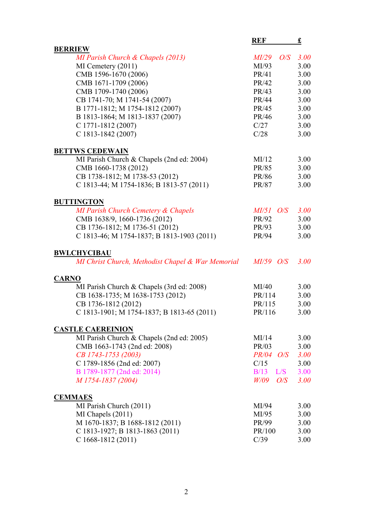|                                                   | <b>REF</b>       | £           |
|---------------------------------------------------|------------------|-------------|
| <b>BERRIEW</b>                                    |                  |             |
| MI Parish Church & Chapels (2013)                 | $MI/29$ O/S      | 3.00        |
| $MI$ Cemetery $(2011)$                            | MI/93            | 3.00        |
| CMB 1596-1670 (2006)                              | PR/41            | 3.00        |
| CMB 1671-1709 (2006)                              | PR/42            | 3.00        |
| CMB 1709-1740 (2006)                              | PR/43            | 3.00        |
| CB 1741-70; M 1741-54 (2007)                      | PR/44            | 3.00        |
| B 1771-1812; M 1754-1812 (2007)                   | PR/45            | 3.00        |
| B 1813-1864; M 1813-1837 (2007)                   | PR/46            | 3.00        |
| $C$ 1771-1812 (2007)                              | C/27             | 3.00        |
| C 1813-1842 (2007)                                | C/28             | 3.00        |
| <b>BETTWS CEDEWAIN</b>                            |                  |             |
| MI Parish Church & Chapels (2nd ed: 2004)         | MI/12            | 3.00        |
| CMB 1660-1738 (2012)                              | PR/85            | 3.00        |
| CB 1738-1812; M 1738-53 (2012)                    | PR/86            | 3.00        |
| C 1813-44; M 1754-1836; B 1813-57 (2011)          | PR/87            | 3.00        |
| <b>BUTTINGTON</b>                                 |                  |             |
| MI Parish Church Cemetery & Chapels               | $MI/51$ O/S      | <b>3.00</b> |
| CMB 1638/9, 1660-1736 (2012)                      | PR/92            | 3.00        |
| CB 1736-1812; M 1736-51 (2012)                    | PR/93            | 3.00        |
| C 1813-46; M 1754-1837; B 1813-1903 (2011)        | PR/94            | 3.00        |
| <b>BWLCHYCIBAU</b>                                |                  |             |
| MI Christ Church, Methodist Chapel & War Memorial | $MI/59$ O/S      | 3.00        |
| <b>CARNO</b>                                      |                  |             |
| MI Parish Church & Chapels (3rd ed: 2008)         | MI/40            | 3.00        |
| CB 1638-1735; M 1638-1753 (2012)                  | PR/114           | 3.00        |
| CB 1736-1812 (2012)                               | PR/115           | 3.00        |
| C 1813-1901; M 1754-1837; B 1813-65 (2011)        | PR/116           | 3.00        |
| <b>CASTLE CAEREINION</b>                          |                  |             |
| MI Parish Church & Chapels (2nd ed: 2005)         | MI/14            | 3.00        |
| CMB 1663-1743 (2nd ed: 2008)                      | PR/03            | 3.00        |
| CB 1743-1753 (2003)                               | <i>PR/04 O/S</i> | <b>3.00</b> |
| C 1789-1856 (2nd ed: 2007)                        | C/15             | 3.00        |
| B 1789-1877 (2nd ed: 2014)                        | $B/13$ $L/S$     | 3.00        |
| M 1754-1837 (2004)                                | $W/09$ O/S       | 3.00        |
| <b>CEMMAES</b>                                    |                  |             |
| MI Parish Church (2011)                           | MI/94            | 3.00        |
| MI Chapels (2011)                                 | MI/95            | 3.00        |
| M 1670-1837; B 1688-1812 (2011)                   | PR/99            | 3.00        |
| C 1813-1927; B 1813-1863 (2011)                   | PR/100           | 3.00        |
| C 1668-1812 (2011)                                | C/39             | 3.00        |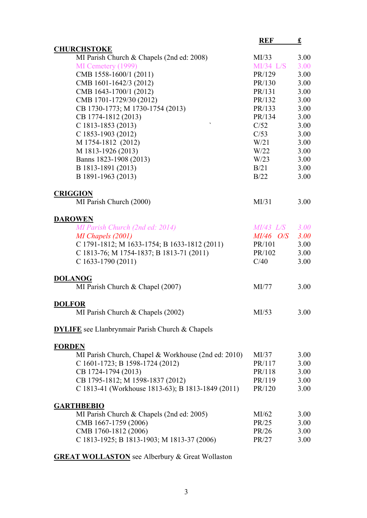|                                                        | <b>REF</b>         | <u>£</u>    |
|--------------------------------------------------------|--------------------|-------------|
| <b>CHURCHSTOKE</b>                                     |                    |             |
| MI Parish Church & Chapels (2nd ed: 2008)              | MI/33              | 3.00        |
| MI Cemetery (1999)                                     | $MI/34$ L/S        | 3.00        |
| CMB 1558-1600/1 (2011)                                 | PR/129             | 3.00        |
| CMB 1601-1642/3 (2012)                                 | PR/130             | 3.00        |
| CMB 1643-1700/1 (2012)                                 | PR/131             | 3.00        |
| CMB 1701-1729/30 (2012)                                | PR/132             | 3.00        |
| CB 1730-1773; M 1730-1754 (2013)                       | PR/133             | 3.00        |
| CB 1774-1812 (2013)                                    | PR/134             | 3.00        |
| $\blacktriangledown$<br>C 1813-1853 (2013)             | C/52               | 3.00        |
| C 1853-1903 (2012)                                     | C/53               | 3.00        |
| M 1754-1812 (2012)                                     | W/21               | 3.00        |
| M 1813-1926 (2013)                                     | W/22               | 3.00        |
| Banns 1823-1908 (2013)                                 | W/23               | 3.00        |
| B 1813-1891 (2013)                                     | B/21               | 3.00        |
| B 1891-1963 (2013)                                     | B/22               | 3.00        |
|                                                        |                    |             |
| <b>CRIGGION</b>                                        |                    |             |
| MI Parish Church (2000)                                | MI/31              | 3.00        |
|                                                        |                    |             |
| <b>DAROWEN</b>                                         |                    |             |
| MI Parish Church (2nd ed: 2014)                        | $MI/43$ $L/S$ 3.00 |             |
| MI Chapels (2001)                                      | $MI/46$ O/S        | <b>3.00</b> |
| C 1791-1812; M 1633-1754; B 1633-1812 (2011)           | PR/101             | 3.00        |
| C 1813-76; M 1754-1837; B 1813-71 (2011)               | PR/102             | 3.00        |
| $C$ 1633-1790 (2011)                                   | C/40               | 3.00        |
|                                                        |                    |             |
| <b>DOLANOG</b>                                         |                    |             |
| MI Parish Church & Chapel (2007)                       | MI/77              | 3.00        |
|                                                        |                    |             |
| <b>DOLFOR</b>                                          |                    |             |
| MI Parish Church & Chapels (2002)                      | MI/53              | 3.00        |
|                                                        |                    |             |
| <b>DYLIFE</b> see Llanbrynmair Parish Church & Chapels |                    |             |
|                                                        |                    |             |
| <b>FORDEN</b>                                          |                    |             |
| MI Parish Church, Chapel & Workhouse (2nd ed: 2010)    | MI/37              | 3.00        |
| C 1601-1723; B 1598-1724 (2012)                        | PR/117             | 3.00        |
| CB 1724-1794 (2013)                                    | PR/118             | 3.00        |
| CB 1795-1812; M 1598-1837 (2012)                       | PR/119             | 3.00        |
| C 1813-41 (Workhouse 1813-63); B 1813-1849 (2011)      | PR/120             | 3.00        |
|                                                        |                    |             |
| <b>GARTHBEBIO</b>                                      |                    |             |
| MI Parish Church & Chapels (2nd ed: 2005)              | MI/62              | 3.00        |
| CMB 1667-1759 (2006)                                   | PR/25              | 3.00        |
| CMB 1760-1812 (2006)                                   | PR/26              | 3.00        |
| C 1813-1925; B 1813-1903; M 1813-37 (2006)             | PR/27              | 3.00        |
|                                                        |                    |             |

**GREAT WOLLASTON** see Alberbury & Great Wollaston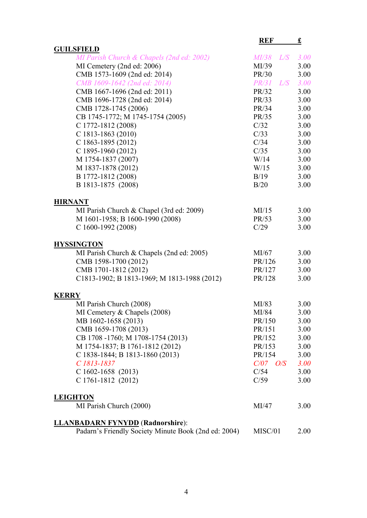|                                                      | <b>REF</b>     | £           |
|------------------------------------------------------|----------------|-------------|
| <b>GUILSFIELD</b>                                    |                |             |
| MI Parish Church & Chapels (2nd ed: 2002)            | MI/38 L/S 3.00 |             |
| MI Cemetery (2nd ed: 2006)                           | MI/39          | 3.00        |
| CMB 1573-1609 (2nd ed: 2014)                         | PR/30          | 3.00        |
| CMB 1609-1642 (2nd ed: 2014)                         | $PR/31$ $L/S$  | 3.00        |
| CMB 1667-1696 (2nd ed: 2011)                         | PR/32          | 3.00        |
| CMB 1696-1728 (2nd ed: 2014)                         | PR/33          | 3.00        |
| CMB 1728-1745 (2006)                                 | PR/34          | 3.00        |
| CB 1745-1772; M 1745-1754 (2005)                     | PR/35          | 3.00        |
| C 1772-1812 (2008)                                   | C/32           | 3.00        |
| $C$ 1813-1863 (2010)                                 | C/33           | 3.00        |
| C 1863-1895 (2012)                                   | C/34           | 3.00        |
| C 1895-1960 (2012)                                   | C/35           | 3.00        |
| M 1754-1837 (2007)                                   | W/14           | 3.00        |
| M 1837-1878 (2012)                                   | W/15           | 3.00        |
| B 1772-1812 (2008)                                   | B/19           | 3.00        |
| B 1813-1875 (2008)                                   | B/20           | 3.00        |
|                                                      |                |             |
| <b>HIRNANT</b>                                       |                |             |
| MI Parish Church & Chapel (3rd ed: 2009)             | MI/15          | 3.00        |
| M 1601-1958; B 1600-1990 (2008)                      | PR/53          | 3.00        |
| C 1600-1992 (2008)                                   | C/29           | 3.00        |
| <b>HYSSINGTON</b>                                    |                |             |
| MI Parish Church & Chapels (2nd ed: 2005)            | MI/67          | 3.00        |
| CMB 1598-1700 (2012)                                 | PR/126         | 3.00        |
| CMB 1701-1812 (2012)                                 | PR/127         | 3.00        |
| C1813-1902; B 1813-1969; M 1813-1988 (2012)          | PR/128         | 3.00        |
| <b>KERRY</b>                                         |                |             |
| MI Parish Church (2008)                              | MI/83          | 3.00        |
| MI Cemetery & Chapels (2008)                         | MI/84          | 3.00        |
| MB 1602-1658 (2013)                                  | PR/150         | 3.00        |
| CMB 1659-1708 (2013)                                 | PR/151         | 3.00        |
| CB 1708-1760; M 1708-1754 (2013)                     | PR/152         | 3.00        |
| M 1754-1837; B 1761-1812 (2012)                      | PR/153         | 3.00        |
| C 1838-1844; B 1813-1860 (2013)                      | PR/154         | 3.00        |
| C 1813-1837                                          | $C/07$ $O/S$   | <b>3.00</b> |
| $C$ 1602-1658 (2013)                                 | C/54           | 3.00        |
| C 1761-1812 (2012)                                   | C/59           | 3.00        |
|                                                      |                |             |
| <b>LEIGHTON</b>                                      |                |             |
| MI Parish Church (2000)                              | MI/47          | 3.00        |
| <b>LLANBADARN FYNYDD</b> (Radnorshire):              |                |             |
| Padarn's Friendly Society Minute Book (2nd ed: 2004) | MISC/01        | 2.00        |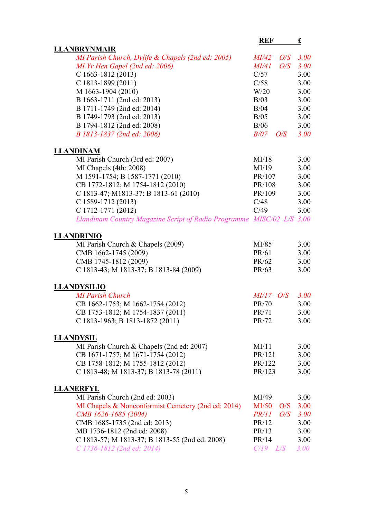|                                                                       | <b>REF</b>   | £           |
|-----------------------------------------------------------------------|--------------|-------------|
| <b>LLANBRYNMAIR</b>                                                   |              |             |
| MI Parish Church, Dylife & Chapels (2nd ed: 2005)                     | $MI/42$ O/S  | <b>3.00</b> |
| MI Yr Hen Gapel (2nd ed: 2006)                                        | MI/41<br>O/S | 3.00        |
| C 1663-1812 (2013)                                                    | C/57         | 3.00        |
| C 1813-1899 (2011)                                                    | C/58         | 3.00        |
| M 1663-1904 (2010)                                                    | W/20         | 3.00        |
| B 1663-1711 (2nd ed: 2013)                                            | B/03         | 3.00        |
| B 1711-1749 (2nd ed: 2014)                                            | B/04         | 3.00        |
| B 1749-1793 (2nd ed: 2013)                                            | B/05         | 3.00        |
| B 1794-1812 (2nd ed: 2008)                                            | B/06         | 3.00        |
| B 1813-1837 (2nd ed: 2006)                                            | $B/07$ $O/S$ | 3.00        |
| <b>LLANDINAM</b>                                                      |              |             |
| MI Parish Church (3rd ed: 2007)                                       | MI/18        | 3.00        |
| MI Chapels (4th: 2008)                                                | MI/19        | 3.00        |
| M 1591-1754; B 1587-1771 (2010)                                       | PR/107       | 3.00        |
| CB 1772-1812; M 1754-1812 (2010)                                      | PR/108       | 3.00        |
| C 1813-47; M1813-37: B 1813-61 (2010)                                 | PR/109       | 3.00        |
| C 1589-1712 (2013)                                                    | C/48         | 3.00        |
| C 1712-1771 (2012)                                                    | C/49         | 3.00        |
| Llandinam Country Magazine Script of Radio Programme MISC/02 L/S 3.00 |              |             |
| <b>LLANDRINIO</b>                                                     |              |             |
| MI Parish Church & Chapels (2009)                                     | MI/85        | 3.00        |
| CMB 1662-1745 (2009)                                                  | PR/61        | 3.00        |
| CMB 1745-1812 (2009)                                                  | PR/62        | 3.00        |
| C 1813-43; M 1813-37; B 1813-84 (2009)                                | PR/63        | 3.00        |
| <b>LLANDYSILIO</b>                                                    |              |             |
| <b>MI Parish Church</b>                                               | $MI/17$ O/S  | 3.00        |
| CB 1662-1753; M 1662-1754 (2012)                                      | PR/70        | 3.00        |
| CB 1753-1812; M 1754-1837 (2011)                                      | PR/71        | 3.00        |
| C 1813-1963; B 1813-1872 (2011)                                       | PR/72        | 3.00        |
| <b>LLANDYSIL</b>                                                      |              |             |
| MI Parish Church & Chapels (2nd ed: 2007)                             | MI/11        | 3.00        |
| CB 1671-1757; M 1671-1754 (2012)                                      | PR/121       | 3.00        |
| CB 1758-1812; M 1755-1812 (2012)                                      | PR/122       | 3.00        |
| C 1813-48; M 1813-37; B 1813-78 (2011)                                | PR/123       | 3.00        |
| <b>LLANERFYL</b>                                                      |              |             |
| MI Parish Church (2nd ed: 2003)                                       | MI/49        | 3.00        |
| MI Chapels & Nonconformist Cemetery (2nd ed: 2014)                    | MI/50<br>O/S | 3.00        |
| CMB 1626-1685 (2004)                                                  | PR/11<br>O/S | <b>3.00</b> |
| CMB 1685-1735 (2nd ed: 2013)                                          | PR/12        | 3.00        |
| MB 1736-1812 (2nd ed: 2008)                                           | PR/13        | 3.00        |
| C 1813-57; M 1813-37; B 1813-55 (2nd ed: 2008)                        | PR/14        | 3.00        |
| C 1736-1812 (2nd ed: 2014)                                            | $C/19$ $L/S$ | 3.00        |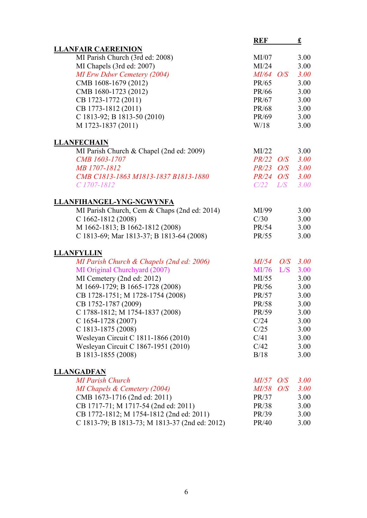|                                                | <b>REF</b>         | $\mathbf f$ |
|------------------------------------------------|--------------------|-------------|
| <b>LLANFAIR CAEREINION</b>                     |                    |             |
| MI Parish Church (3rd ed: 2008)                | MI/07              | 3.00        |
| MI Chapels (3rd ed: 2007)                      | MI/24              | 3.00        |
| <b>MI Erw Ddwr Cemetery (2004)</b>             | $MI/64$ O/S        | 3.00        |
| CMB 1608-1679 (2012)                           | PR/65              | 3.00        |
| CMB 1680-1723 (2012)                           | PR/66              | 3.00        |
| CB 1723-1772 (2011)                            | PR/67              | 3.00        |
| CB 1773-1812 (2011)                            | PR/68              | 3.00        |
| C 1813-92; B 1813-50 (2010)                    | PR/69              | 3.00        |
| M 1723-1837 (2011)                             | W/18               | 3.00        |
|                                                |                    |             |
| <b>LLANFECHAIN</b>                             |                    |             |
| MI Parish Church & Chapel (2nd ed: 2009)       | MI/22              | 3.00        |
| CMB 1603-1707                                  | $PR/22$ O/S        | 3.00        |
| MB 1707-1812                                   | $PR/23$ $O/S$ 3.00 |             |
| CMB C1813-1863 M1813-1837 B1813-1880           | PR/24 O/S 3.00     |             |
| C 1707-1812                                    | $C/22$ $L/S$       | 3.00        |
|                                                |                    |             |
| LLANFIHANGEL-YNG-NGWYNFA                       |                    |             |
| MI Parish Church, Cem & Chaps (2nd ed: 2014)   | MI/99              | 3.00        |
| C 1662-1812 (2008)                             | C/30               | 3.00        |
| M 1662-1813; B 1662-1812 (2008)                | PR/54              | 3.00        |
| C 1813-69; Mar 1813-37; B 1813-64 (2008)       | PR/55              | 3.00        |
|                                                |                    |             |
| <b>LLANFYLLIN</b>                              |                    |             |
| MI Parish Church & Chapels (2nd ed: 2006)      | $MI/54$ $O/S$ 3.00 |             |
| MI Original Churchyard (2007)                  | $MI/76$ $L/S$      | 3.00        |
| MI Cemetery (2nd ed: 2012)                     | MI/55              | 3.00        |
| M 1669-1729; B 1665-1728 (2008)                | PR/56              | 3.00        |
| CB 1728-1751; M 1728-1754 (2008)               | PR/57              | 3.00        |
| CB 1752-1787 (2009)                            | PR/58              | 3.00        |
| C 1788-1812; M 1754-1837 (2008)                | PR/59              | 3.00        |
| $C$ 1654-1728 (2007)                           | C/24               | 3.00        |
| C 1813-1875 (2008)                             | C/25               | 3.00        |
| Wesleyan Circuit C 1811-1866 (2010)            | C/41               | 3.00        |
| Wesleyan Circuit C 1867-1951 (2010)            | C/42               | 3.00        |
| B 1813-1855 (2008)                             | B/18               | 3.00        |
|                                                |                    |             |
| <b>LLANGADFAN</b>                              |                    |             |
| <b>MI Parish Church</b>                        | $MI/57$ O/S        | 3.00        |
| MI Chapels & Cemetery (2004)                   | MI/58<br>O/S       | 3.00        |
| CMB 1673-1716 (2nd ed: 2011)                   | PR/37              | 3.00        |
| CB 1717-71; M 1717-54 (2nd ed: 2011)           | PR/38              | 3.00        |
| CB 1772-1812; M 1754-1812 (2nd ed: 2011)       | PR/39              | 3.00        |
| C 1813-79; B 1813-73; M 1813-37 (2nd ed: 2012) | PR/40              | 3.00        |
|                                                |                    |             |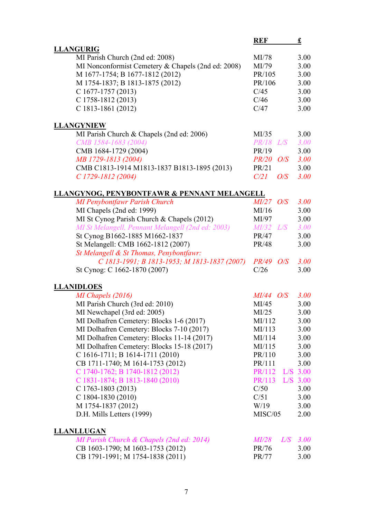|                                                                                       | <b>REF</b>         | £           |
|---------------------------------------------------------------------------------------|--------------------|-------------|
| <b>LLANGURIG</b>                                                                      |                    |             |
| MI Parish Church (2nd ed: 2008)                                                       | MI/78              | 3.00        |
| MI Nonconformist Cemetery & Chapels (2nd ed: 2008)                                    | MI/79              | 3.00        |
| M 1677-1754; B 1677-1812 (2012)                                                       | PR/105             | 3.00        |
| M 1754-1837; B 1813-1875 (2012)                                                       | PR/106             | 3.00        |
| $C$ 1677-1757 (2013)                                                                  | C/45               | 3.00        |
| C 1758-1812 (2013)                                                                    | C/46               | 3.00        |
| C 1813-1861 (2012)                                                                    | C/47               | 3.00        |
|                                                                                       |                    |             |
| <b>LLANGYNIEW</b>                                                                     |                    |             |
| MI Parish Church & Chapels (2nd ed: 2006)                                             | MI/35              | 3.00        |
| CMB 1584-1683 (2004)                                                                  | $PR/18$ $L/S$      | 3.00        |
| CMB 1684-1729 (2004)                                                                  | PR/19              | 3.00        |
| MB 1729-1813 (2004)                                                                   | $PR/20$ O/S        | <b>3.00</b> |
| CMB C1813-1914 M1813-1837 B1813-1895 (2013)                                           | PR/21              | 3.00        |
| $C1729-1812(2004)$                                                                    | C/21<br>O/S        | 3.00        |
| <b>LLANGYNOG, PENYBONTFAWR &amp; PENNANT MELANGELL</b>                                |                    |             |
| <b>MI Penybontfawr Parish Church</b>                                                  | $MI/27$ O/S        | 3.00        |
| MI Chapels (2nd ed: 1999)                                                             | MI/16              | 3.00        |
| MI St Cynog Parish Church & Chapels (2012)                                            | MI/97              | 3.00        |
| MI St Melangell, Pennant Melangell (2nd ed: 2003)                                     | $MI/32$ $L/S$      | 3.00        |
| St Cynog B1662-1885 M1662-1837                                                        | PR/47              | 3.00        |
| St Melangell: CMB 1662-1812 (2007)                                                    | PR/48              | 3.00        |
| St Melangell & St Thomas, Penybontfawr:                                               |                    |             |
| C 1813-1991; B 1813-1953; M 1813-1837 (2007)                                          | <i>PR/49 O/S</i>   | 3.00        |
| St Cynog: C 1662-1870 (2007)                                                          | C/26               | 3.00        |
| <b>LLANIDLOES</b>                                                                     |                    |             |
| MI Chapels (2016)                                                                     | $MI/44$ O/S        | <b>3.00</b> |
|                                                                                       | MI/45              | 3.00        |
| MI Parish Church (3rd ed: 2010)<br>MI Newchapel (3rd ed: 2005)                        | MI/25              | 3.00        |
|                                                                                       | MI/112             |             |
| MI Dolhafren Cemetery: Blocks 1-6 (2017)<br>MI Dolhafren Cemetery: Blocks 7-10 (2017) |                    | 3.00        |
|                                                                                       | MI/113             | 3.00        |
| MI Dolhafren Cemetery: Blocks 11-14 (2017)                                            | MI/114             | 3.00        |
| MI Dolhafren Cemetery: Blocks 15-18 (2017)                                            | MI/115             | 3.00        |
| C 1616-1711; B 1614-1711 (2010)                                                       | PR/110             | 3.00        |
| CB 1711-1740; M 1614-1753 (2012)                                                      | PR/111             | 3.00        |
| C 1740-1762; B 1740-1812 (2012)                                                       | PR/112             | $L/S$ 3.00  |
| C 1831-1874; B 1813-1840 (2010)                                                       | PR/113             | $L/S$ 3.00  |
| $C$ 1763-1803 (2013)                                                                  | C/50               | 3.00        |
| C 1804-1830 (2010)                                                                    | C/51               | 3.00        |
| M 1754-1837 (2012)                                                                    | W/19               | 3.00        |
| D.H. Mills Letters (1999)                                                             | MISC/05            | 2.00        |
| <b>LLANLLUGAN</b>                                                                     |                    |             |
| MI Parish Church & Chapels (2nd ed: 2014)                                             | $M\!I\!/28$<br>L/S | <b>3.00</b> |
| CB 1603-1790; M 1603-1753 (2012)                                                      | PR/76              | 3.00        |
| CB 1791-1991; M 1754-1838 (2011)                                                      | PR/77              | 3.00        |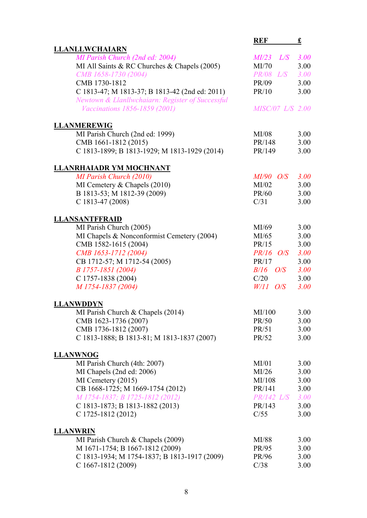|                                                  | <b>REF</b>              | £           |
|--------------------------------------------------|-------------------------|-------------|
| <b>LLANLLWCHAIARN</b>                            |                         |             |
| MI Parish Church (2nd ed: 2004)                  | $MI/23$ $L/S$ 3.00      |             |
| MI All Saints & RC Churches & Chapels (2005)     | MI/70                   | 3.00        |
| CMB 1658-1730 (2004)                             | <b>PR/08</b> L/S        | 3.00        |
| CMB 1730-1812                                    | PR/09                   | 3.00        |
| C 1813-47; M 1813-37; B 1813-42 (2nd ed: 2011)   | PR/10                   | 3.00        |
| Newtown & Llanllwchaiarn: Register of Successful |                         |             |
| <i>Vaccinations 1856-1859 (2001)</i>             | <i>MISC/07 L/S 2.00</i> |             |
| <b>LLANMEREWIG</b>                               |                         |             |
| MI Parish Church (2nd ed: 1999)                  | MI/08                   | 3.00        |
| CMB 1661-1812 (2015)                             | PR/148                  | 3.00        |
| C 1813-1899; B 1813-1929; M 1813-1929 (2014)     | PR/149                  | 3.00        |
| <b>LLANRHAIADR YM MOCHNANT</b>                   |                         |             |
| MI Parish Church (2010)                          | $MI/90$ O/S             | 3.00        |
| MI Cemetery & Chapels (2010)                     | MI/02                   | 3.00        |
| B 1813-53; M 1812-39 (2009)                      | PR/60                   | 3.00        |
| C 1813-47 (2008)                                 | C/31                    | 3.00        |
| <b>LLANSANTFFRAID</b>                            |                         |             |
| MI Parish Church (2005)                          | MI/69                   | 3.00        |
| MI Chapels & Nonconformist Cemetery (2004)       | MI/65                   | 3.00        |
| CMB 1582-1615 (2004)                             | PR/15                   | 3.00        |
| CMB 1653-1712 (2004)                             | $PR/16$ O/S             | <b>3.00</b> |
| CB 1712-57; M 1712-54 (2005)                     | PR/17                   | 3.00        |
| B 1757-1851 (2004)                               | $B/16$ $O/S$            | <b>3.00</b> |
| C 1757-1838 (2004)                               | C/20                    | 3.00        |
| M 1754-1837 (2004)                               | $W/11$ O/S              | 3.00        |
| <b>LLANWDDYN</b>                                 |                         |             |
| MI Parish Church & Chapels (2014)                | MI/100                  | 3.00        |
| CMB 1623-1736 (2007)                             | PR/50                   | 3.00        |
| CMB 1736-1812 (2007)                             | PR/51                   | 3.00        |
| C 1813-1888; B 1813-81; M 1813-1837 (2007)       | PR/52                   | 3.00        |
| <b>LLANWNOG</b>                                  |                         |             |
| MI Parish Church (4th: 2007)                     | MI/01                   | 3.00        |
| MI Chapels (2nd ed: 2006)                        | MI/26                   | 3.00        |
| MI Cemetery (2015)                               | MI/108                  | 3.00        |
| CB 1668-1725; M 1669-1754 (2012)                 | PR/141                  | 3.00        |
| M 1754-1837; B 1725-1812 (2012)                  | $PR/142$ $L/S$          | <b>3.00</b> |
| C 1813-1873; B 1813-1882 (2013)                  | PR/143                  | 3.00        |
| C 1725-1812 (2012)                               | C/55                    | 3.00        |
| <b>LLANWRIN</b>                                  |                         |             |
| MI Parish Church & Chapels (2009)                | MI/88                   | 3.00        |
| M 1671-1754; B 1667-1812 (2009)                  | PR/95                   | 3.00        |
| C 1813-1934; M 1754-1837; B 1813-1917 (2009)     | PR/96                   | 3.00        |
| C 1667-1812 (2009)                               | C/38                    | 3.00        |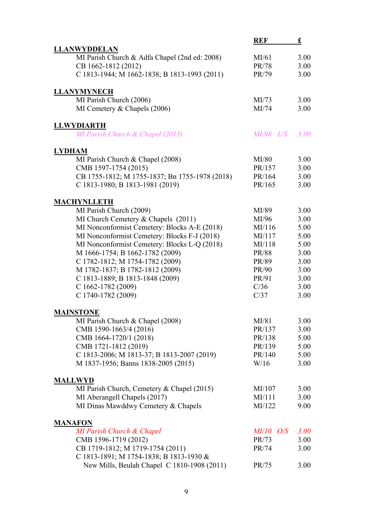|                                                | <b>REF</b>       | <u>£</u>    |
|------------------------------------------------|------------------|-------------|
| <b>LLANWYDDELAN</b>                            |                  |             |
| MI Parish Church & Adfa Chapel (2nd ed: 2008)  | MI/61            | 3.00        |
| CB 1662-1812 (2012)                            | PR/78            | 3.00        |
| C 1813-1944; M 1662-1838; B 1813-1993 (2011)   | PR/79            | 3.00        |
| <b>LLANYMYNECH</b>                             |                  |             |
| MI Parish Church (2006)                        | MI/73            | 3.00        |
| MI Cemetery & Chapels (2006)                   | MI/74            | 3.00        |
| <b>LLWYDIARTH</b>                              |                  |             |
| MI Parish Church & Chapel (2013)               | <i>MI/98 L/S</i> | <b>3.00</b> |
| <b>LYDHAM</b>                                  |                  |             |
| MI Parish Church & Chapel (2008)               | MI/80            | 3.00        |
| CMB 1597-1754 (2015)                           | PR/157           | 3.00        |
| CB 1755-1812; M 1755-1837; Bn 1755-1978 (2018) | PR/164           | 3.00        |
| C 1813-1980; B 1813-1981 (2019)                | PR/165           | 3.00        |
| <b>MACHYNLLETH</b>                             |                  |             |
| MI Parish Church (2009)                        | MI/89            | 3.00        |
| MI Church Cemetery & Chapels (2011)            | MI/96            | 3.00        |
| MI Nonconformist Cemetery: Blocks A-E (2018)   | MI/116           | 5.00        |
| MI Nonconformist Cemetery: Blocks F-J (2018)   | MI/117           | 5.00        |
| MI Nonconformist Cemetery: Blocks L-Q (2018)   | MI/118           | 5.00        |
| M 1666-1754; B 1662-1782 (2009)                | PR/88            | 3.00        |
| C 1782-1812; M 1754-1782 (2009)                | PR/89            | 3.00        |
| M 1782-1837; B 1782-1812 (2009)                | PR/90            | 3.00        |
| C 1813-1889; B 1813-1848 (2009)                | PR/91            | 3.00        |
| C 1662-1782 (2009)                             | C/36             | 3.00        |
| C 1740-1782 (2009)                             | C/37             | 3.00        |
| <b>MAINSTONE</b>                               |                  |             |
| MI Parish Church & Chapel (2008)               | MI/81            | 3.00        |
| CMB 1590-1663/4 (2016)                         | PR/137           | 3.00        |
| CMB 1664-1720/1 (2018)                         | PR/138           | 5.00        |
| CMB 1721-1812 (2019)                           | PR/139           | 5.00        |
| C 1813-2006; M 1813-37; B 1813-2007 (2019)     | PR/140           | 5.00        |
| M 1837-1956; Banns 1838-2005 (2015)            | W/16             | 3.00        |
| <b>MALLWYD</b>                                 |                  |             |
| MI Parish Church, Cemetery & Chapel (2015)     | MI/107           | 3.00        |
| MI Aberangell Chapels (2017)                   | MI/111           | 3.00        |
| MI Dinas Mawddwy Cemetery & Chapels            | MI/122           | 9.00        |
| <b>MANAFON</b>                                 |                  |             |
| MI Parish Church & Chapel                      | $MI/10$ O/S      | 3.00        |
| CMB 1596-1719 (2012)                           | PR/73            | 3.00        |
| CB 1719-1812; M 1719-1754 (2011)               | PR/74            | 3.00        |
| C 1813-1891; M 1754-1838; B 1813-1930 &        |                  |             |
| New Mills, Beulah Chapel C 1810-1908 (2011)    | PR/75            | 3.00        |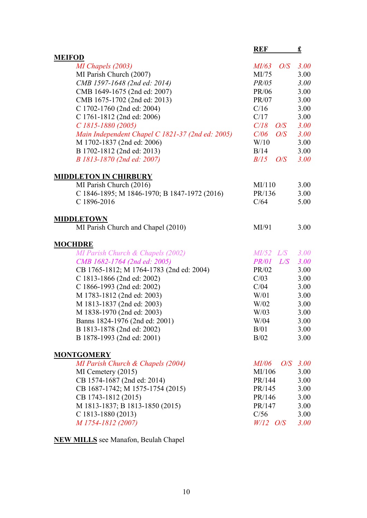|                                                  | <b>REF</b>    | £           |
|--------------------------------------------------|---------------|-------------|
| <b>MEIFOD</b>                                    |               |             |
| MI Chapels (2003)                                | $MI/63$ $O/S$ | <b>3.00</b> |
| MI Parish Church (2007)                          | MI/75         | 3.00        |
| CMB 1597-1648 (2nd ed: 2014)                     | PR/05         | 3.00        |
| CMB 1649-1675 (2nd ed: 2007)                     | PR/06         | 3.00        |
| CMB 1675-1702 (2nd ed: 2013)                     | PR/07         | 3.00        |
| C 1702-1760 (2nd ed: 2004)                       | C/16          | 3.00        |
| C 1761-1812 (2nd ed: 2006)                       | C/17          | 3.00        |
| $C1815-1880(2005)$                               | $C/18$ $O/S$  | <b>3.00</b> |
| Main Independent Chapel C 1821-37 (2nd ed: 2005) | C/06<br>O/S   | 3.00        |
| M 1702-1837 (2nd ed: 2006)                       | W/10          | 3.00        |
| B 1702-1812 (2nd ed: 2013)                       | B/14          | 3.00        |
| B 1813-1870 (2nd ed: 2007)                       | $B/15$ $O/S$  | 3.00        |
| <b>MIDDLETON IN CHIRBURY</b>                     |               |             |
| MI Parish Church (2016)                          | MI/110        | 3.00        |
| C 1846-1895; M 1846-1970; B 1847-1972 (2016)     | PR/136        | 3.00        |
| C 1896-2016                                      | C/64          | 5.00        |
| <b>MIDDLETOWN</b>                                |               |             |
| MI Parish Church and Chapel (2010)               | MI/91         | 3.00        |
| <b>MOCHDRE</b>                                   |               |             |
| MI Parish Church & Chapels (2002)                | $MI/52$ $L/S$ | 3.00        |
| CMB 1682-1764 (2nd ed: 2005)                     | $PR/01$ $L/S$ | <b>3.00</b> |
| CB 1765-1812; M 1764-1783 (2nd ed: 2004)         | PR/02         | 3.00        |
| C 1813-1866 (2nd ed: 2002)                       | C/03          | 3.00        |
| C 1866-1993 (2nd ed: 2002)                       | C/04          | 3.00        |
| M 1783-1812 (2nd ed: 2003)                       | W/01          | 3.00        |
| M 1813-1837 (2nd ed: 2003)                       | W/02          | 3.00        |
| M 1838-1970 (2nd ed: 2003)                       | W/03          | 3.00        |
| Banns 1824-1976 (2nd ed: 2001)                   | W/04          | 3.00        |
| B 1813-1878 (2nd ed: 2002)                       | B/01          | 3.00        |
| B 1878-1993 (2nd ed: 2001)                       | B/02          | 3.00        |
| <b>MONTGOMERY</b>                                |               |             |
| MI Parish Church & Chapels (2004)                | <i>MI/06</i>  | $O/S$ 3.00  |
| $MI$ Cemetery $(2015)$                           | MI/106        | 3.00        |
| CB 1574-1687 (2nd ed: 2014)                      | PR/144        | 3.00        |
| CB 1687-1742; M 1575-1754 (2015)                 | PR/145        | 3.00        |
| CB 1743-1812 (2015)                              | PR/146        | 3.00        |
| M 1813-1837; B 1813-1850 (2015)                  | PR/147        | 3.00        |
| $C$ 1813-1880 (2013)                             | C/56          | 3.00        |
| M 1754-1812 (2007)                               | $W/12$ O/S    | 3.00        |

#### **NEW MILLS** see Manafon, Beulah Chapel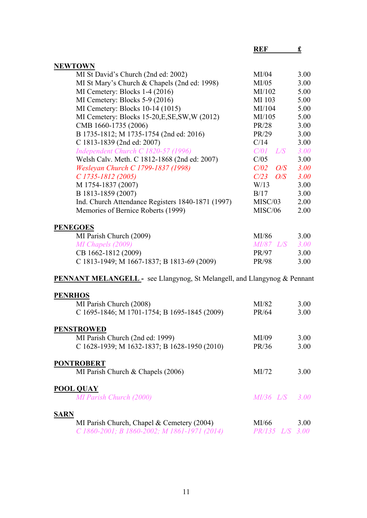|                                                                                 | <b>REF</b>         | £    |
|---------------------------------------------------------------------------------|--------------------|------|
| <b>NEWTOWN</b>                                                                  |                    |      |
| MI St David's Church (2nd ed: 2002)                                             | MI/04              | 3.00 |
| MI St Mary's Church & Chapels (2nd ed: 1998)                                    | MI/05              | 3.00 |
| MI Cemetery: Blocks 1-4 (2016)                                                  | MI/102             | 5.00 |
| MI Cemetery: Blocks 5-9 (2016)                                                  | MI 103             | 5.00 |
| MI Cemetery: Blocks 10-14 (1015)                                                | MI/104             | 5.00 |
| MI Cemetery: Blocks 15-20, E, SE, SW, W (2012)                                  | MI/105             | 5.00 |
| CMB 1660-1735 (2006)                                                            | PR/28              | 3.00 |
| B 1735-1812; M 1735-1754 (2nd ed: 2016)                                         | PR/29              | 3.00 |
| C 1813-1839 (2nd ed: 2007)                                                      | C/14               | 3.00 |
| Independent Church C 1820-57 (1996)                                             | $C/01$ $L/S$       | 3.00 |
| Welsh Calv. Meth. C 1812-1868 (2nd ed: 2007)                                    | C/05               | 3.00 |
| Wesleyan Church C 1799-1837 (1998)                                              | $C/02$ $O/S$       | 3.00 |
| $C1735 - 1812(2005)$                                                            | $C/23$ $O/S$       | 3.00 |
| M 1754-1837 (2007)                                                              | W/13               | 3.00 |
| B 1813-1859 (2007)                                                              | B/17               | 3.00 |
| Ind. Church Attendance Registers 1840-1871 (1997)                               | MISC/03            | 2.00 |
| Memories of Bernice Roberts (1999)                                              | MISC/06            | 2.00 |
|                                                                                 |                    |      |
| <b>PENEGOES</b>                                                                 |                    |      |
| MI Parish Church (2009)                                                         | MI/86              | 3.00 |
| MI Chapels (2009)                                                               | <i>MI/87</i> L/S   | 3.00 |
| CB 1662-1812 (2009)                                                             | PR/97              | 3.00 |
| C 1813-1949; M 1667-1837; B 1813-69 (2009)                                      | PR/98              | 3.00 |
| <b>PENNANT MELANGELL</b> - see Llangynog, St Melangell, and Llangynog & Pennant |                    |      |
| <b>PENRHOS</b>                                                                  |                    |      |
| MI Parish Church (2008)                                                         | MI/82              | 3.00 |
| C 1695-1846; M 1701-1754; B 1695-1845 (2009)                                    | PR/64              | 3.00 |
|                                                                                 |                    |      |
| <b>PENSTROWED</b>                                                               |                    |      |
| MI Parish Church (2nd ed: 1999)                                                 | MI/09              | 3.00 |
| C 1628-1939; M 1632-1837; B 1628-1950 (2010)                                    | PR/36              | 3.00 |
|                                                                                 |                    |      |
| <b>PONTROBERT</b>                                                               |                    |      |
| MI Parish Church & Chapels (2006)                                               | MI/72              | 3.00 |
| <b>POOL QUAY</b>                                                                |                    |      |
| MI Parish Church (2000)                                                         | $MI/36$ $L/S$ 3.00 |      |
|                                                                                 |                    |      |

| MI Parish Church, Chapel & Cemetery (2004)   | MI/66                  | 3.00 |
|----------------------------------------------|------------------------|------|
| C 1860-2001; B 1860-2002; M 1861-1971 (2014) | <i>PR/135 L/S 3.00</i> |      |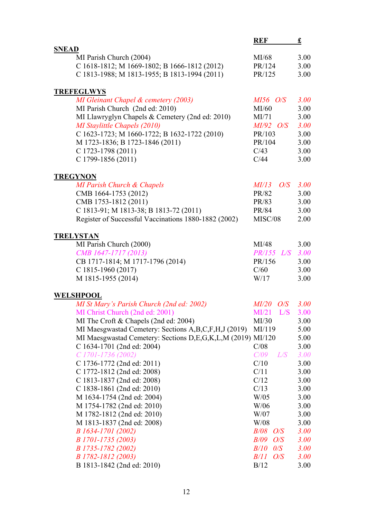|                                                             | <b>REF</b>          | £           |
|-------------------------------------------------------------|---------------------|-------------|
| <b>SNEAD</b>                                                |                     |             |
| MI Parish Church (2004)                                     | MI/68               | 3.00        |
| C 1618-1812; M 1669-1802; B 1666-1812 (2012)                | PR/124              | 3.00        |
| C 1813-1988; M 1813-1955; B 1813-1994 (2011)                | PR/125              | 3.00        |
| <b>TREFEGLWYS</b>                                           |                     |             |
| MI Gleinant Chapel & cemetery (2003)                        | $M156$ O/S          | 3.00        |
| MI Parish Church (2nd ed: 2010)                             | MI/60               | 3.00        |
| MI Llawryglyn Chapels & Cemetery (2nd ed: 2010)             | MI/71               | 3.00        |
| MI Staylittle Chapels (2010)                                | $MI/92$ O/S         | 3.00        |
| C 1623-1723; M 1660-1722; B 1632-1722 (2010)                | PR/103              | 3.00        |
| M 1723-1836; B 1723-1846 (2011)                             | PR/104              | 3.00        |
| $C$ 1723-1798 (2011)                                        | C/43                | 3.00        |
| C 1799-1856 (2011)                                          | C/44                | 3.00        |
| <b>TREGYNON</b>                                             |                     |             |
| MI Parish Church & Chapels                                  | $MI/13$ $O/S$       | <b>3.00</b> |
| CMB 1664-1753 (2012)                                        | PR/82               | 3.00        |
| CMB 1753-1812 (2011)                                        | PR/83               | 3.00        |
| C 1813-91; M 1813-38; B 1813-72 (2011)                      | PR/84               | 3.00        |
| Register of Successful Vaccinations 1880-1882 (2002)        | MISC/08             | 2.00        |
| <b>TRELYSTAN</b>                                            |                     |             |
| MI Parish Church (2000)                                     | MI/48               | 3.00        |
| CMB 1647-1717 (2013)                                        | $PR/155$ $L/S$ 3.00 |             |
| CB 1717-1814; M 1717-1796 (2014)                            | PR/156              | 3.00        |
| $C$ 1815-1960 (2017)                                        | C/60                | 3.00        |
| M 1815-1955 (2014)                                          | W/17                | 3.00        |
| <b>WELSHPOOL</b>                                            |                     |             |
| MI St Mary's Parish Church (2nd ed: 2002)                   | $MI/20$ $O/S$ 3.00  |             |
| MI Christ Church (2nd ed: 2001)                             | $MI/21$ $L/S$       | 3.00        |
| MI The Croft & Chapels (2nd ed: 2004)                       | MI/30               | 3.00        |
| MI Maesgwastad Cemetery: Sections A,B,C,F,H,J (2019)        | MI/119              | 5.00        |
| MI Maesgwastad Cemetery: Sections D,E,G,K,L,M (2019) MI/120 |                     | 5.00        |
| C 1634-1701 (2nd ed: 2004)                                  | C/08                | 3.00        |
| $C1701-1736(2002)$                                          | C/09<br>L/S         | <b>3.00</b> |
| C 1736-1772 (2nd ed: 2011)                                  | C/10                | 3.00        |
| C 1772-1812 (2nd ed: 2008)                                  | C/11                | 3.00        |
| C 1813-1837 (2nd ed: 2008)                                  | C/12                | 3.00        |
| C 1838-1861 (2nd ed: 2010)                                  | C/13                | 3.00        |
| M 1634-1754 (2nd ed: 2004)                                  | W/05                | 3.00        |
| M 1754-1782 (2nd ed: 2010)                                  | W/06                | 3.00        |
| M 1782-1812 (2nd ed: 2010)                                  | W/07                | 3.00        |
| M 1813-1837 (2nd ed: 2008)                                  | W/08                | 3.00        |
| B 1634-1701 (2002)                                          | $B/08$ O/S          | 3.00        |
| B 1701-1735 (2003)                                          | <i>B/09</i><br>O/S  | 3.00        |
| B 1735-1782 (2002)                                          | $B/10$ $0/S$        | <b>3.00</b> |
| B 1782-1812 (2003)                                          | $B/11$ $O/S$        | <b>3.00</b> |
| B 1813-1842 (2nd ed: 2010)                                  | B/12                | 3.00        |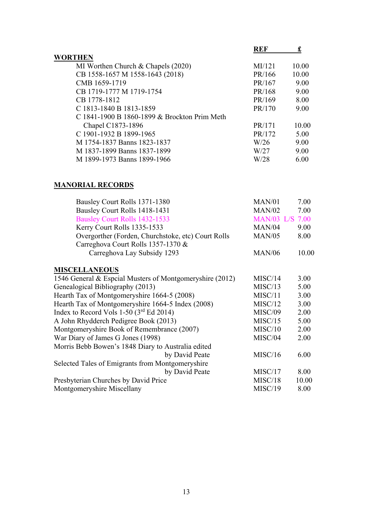| <b>REF</b> |       |
|------------|-------|
|            |       |
| MI/121     | 10.00 |
| PR/166     | 10.00 |
| PR/167     | 9.00  |
| PR/168     | 9.00  |
| PR/169     | 8.00  |
| PR/170     | 9.00  |
|            |       |
| PR/171     | 10.00 |
| PR/172     | 5.00  |
| W/26       | 9.00  |
| W/27       | 9.00  |
| W/28       | 6.00  |
|            |       |

## **MANORIAL RECORDS**

| Bausley Court Rolls 1371-1380                            | MAN/01                 | 7.00  |
|----------------------------------------------------------|------------------------|-------|
| Bausley Court Rolls 1418-1431                            | MAN/02                 | 7.00  |
| Bausley Court Rolls 1432-1533                            | <b>MAN/03 L/S 7.00</b> |       |
| Kerry Court Rolls 1335-1533                              | MAN/04                 | 9.00  |
| Overgorther (Forden, Churchstoke, etc) Court Rolls       | MAN/05                 | 8.00  |
| Carreghova Court Rolls 1357-1370 &                       |                        |       |
| Carreghova Lay Subsidy 1293                              | <b>MAN/06</b>          | 10.00 |
| <b>MISCELLANEOUS</b>                                     |                        |       |
| 1546 General & Espeial Musters of Montgomeryshire (2012) | MISC/14                | 3.00  |
| Genealogical Bibliography (2013)                         | MISC/13                | 5.00  |
| Hearth Tax of Montgomeryshire 1664-5 (2008)              | MISC/11                | 3.00  |
| Hearth Tax of Montgomeryshire 1664-5 Index (2008)        | MISC/12                | 3.00  |
| Index to Record Vols 1-50 $(3^{rd}$ Ed 2014)             | MISC/09                | 2.00  |
| A John Rhydderch Pedigree Book (2013)                    | MISC/15                | 5.00  |
| Montgomeryshire Book of Remembrance (2007)               | MISC/10                | 2.00  |
| War Diary of James G Jones (1998)                        | MISC/04                | 2.00  |
| Morris Bebb Bowen's 1848 Diary to Australia edited       |                        |       |
| by David Peate                                           | MISC/16                | 6.00  |
| Selected Tales of Emigrants from Montgomeryshire         |                        |       |
| by David Peate                                           | MISC/17                | 8.00  |
| Presbyterian Churches by David Price                     | MISC/18                | 10.00 |
| Montgomeryshire Miscellany                               | MISC/19                | 8.00  |
|                                                          |                        |       |